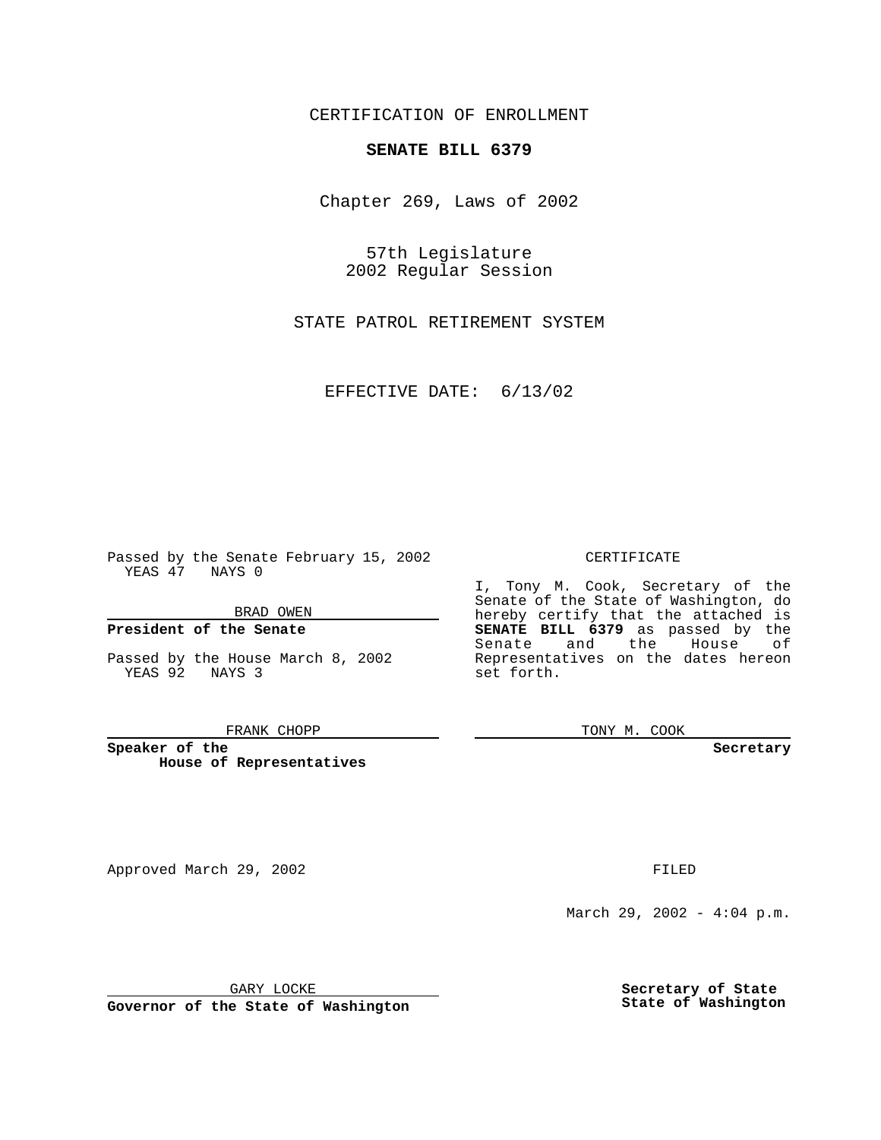CERTIFICATION OF ENROLLMENT

## **SENATE BILL 6379**

Chapter 269, Laws of 2002

57th Legislature 2002 Regular Session

STATE PATROL RETIREMENT SYSTEM

EFFECTIVE DATE: 6/13/02

Passed by the Senate February 15, 2002 YEAS 47 NAYS 0

BRAD OWEN

### **President of the Senate**

Passed by the House March 8, 2002 YEAS 92 NAYS 3

#### FRANK CHOPP

**Speaker of the House of Representatives**

Approved March 29, 2002 **FILED** 

#### CERTIFICATE

I, Tony M. Cook, Secretary of the Senate of the State of Washington, do hereby certify that the attached is **SENATE BILL 6379** as passed by the Senate and the House of Representatives on the dates hereon set forth.

TONY M. COOK

**Secretary**

March 29, 2002 - 4:04 p.m.

GARY LOCKE

**Governor of the State of Washington**

**Secretary of State State of Washington**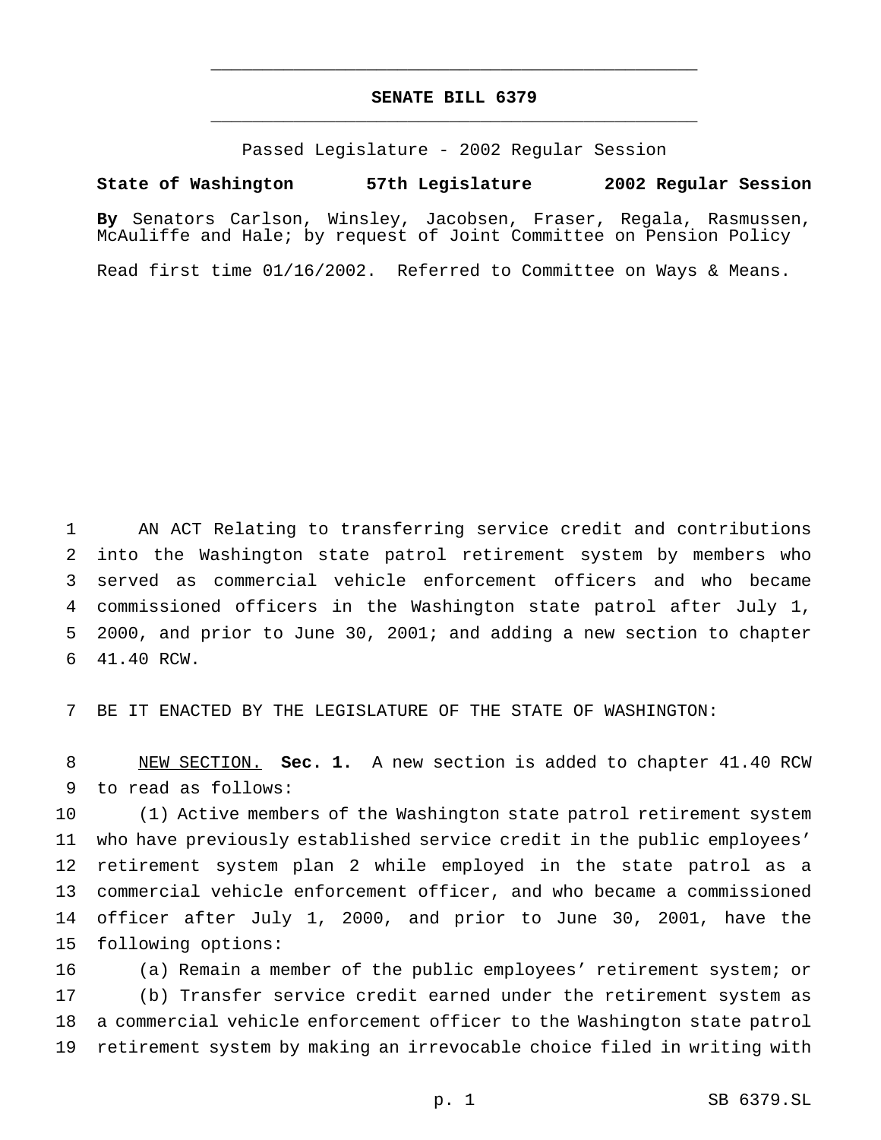# **SENATE BILL 6379** \_\_\_\_\_\_\_\_\_\_\_\_\_\_\_\_\_\_\_\_\_\_\_\_\_\_\_\_\_\_\_\_\_\_\_\_\_\_\_\_\_\_\_\_\_\_\_

\_\_\_\_\_\_\_\_\_\_\_\_\_\_\_\_\_\_\_\_\_\_\_\_\_\_\_\_\_\_\_\_\_\_\_\_\_\_\_\_\_\_\_\_\_\_\_

Passed Legislature - 2002 Regular Session

### **State of Washington 57th Legislature 2002 Regular Session**

**By** Senators Carlson, Winsley, Jacobsen, Fraser, Regala, Rasmussen, McAuliffe and Hale; by request of Joint Committee on Pension Policy

Read first time 01/16/2002. Referred to Committee on Ways & Means.

 AN ACT Relating to transferring service credit and contributions into the Washington state patrol retirement system by members who served as commercial vehicle enforcement officers and who became commissioned officers in the Washington state patrol after July 1, 2000, and prior to June 30, 2001; and adding a new section to chapter 41.40 RCW.

BE IT ENACTED BY THE LEGISLATURE OF THE STATE OF WASHINGTON:

 NEW SECTION. **Sec. 1.** A new section is added to chapter 41.40 RCW to read as follows:

 (1) Active members of the Washington state patrol retirement system who have previously established service credit in the public employees' retirement system plan 2 while employed in the state patrol as a commercial vehicle enforcement officer, and who became a commissioned officer after July 1, 2000, and prior to June 30, 2001, have the following options:

 (a) Remain a member of the public employees' retirement system; or (b) Transfer service credit earned under the retirement system as a commercial vehicle enforcement officer to the Washington state patrol retirement system by making an irrevocable choice filed in writing with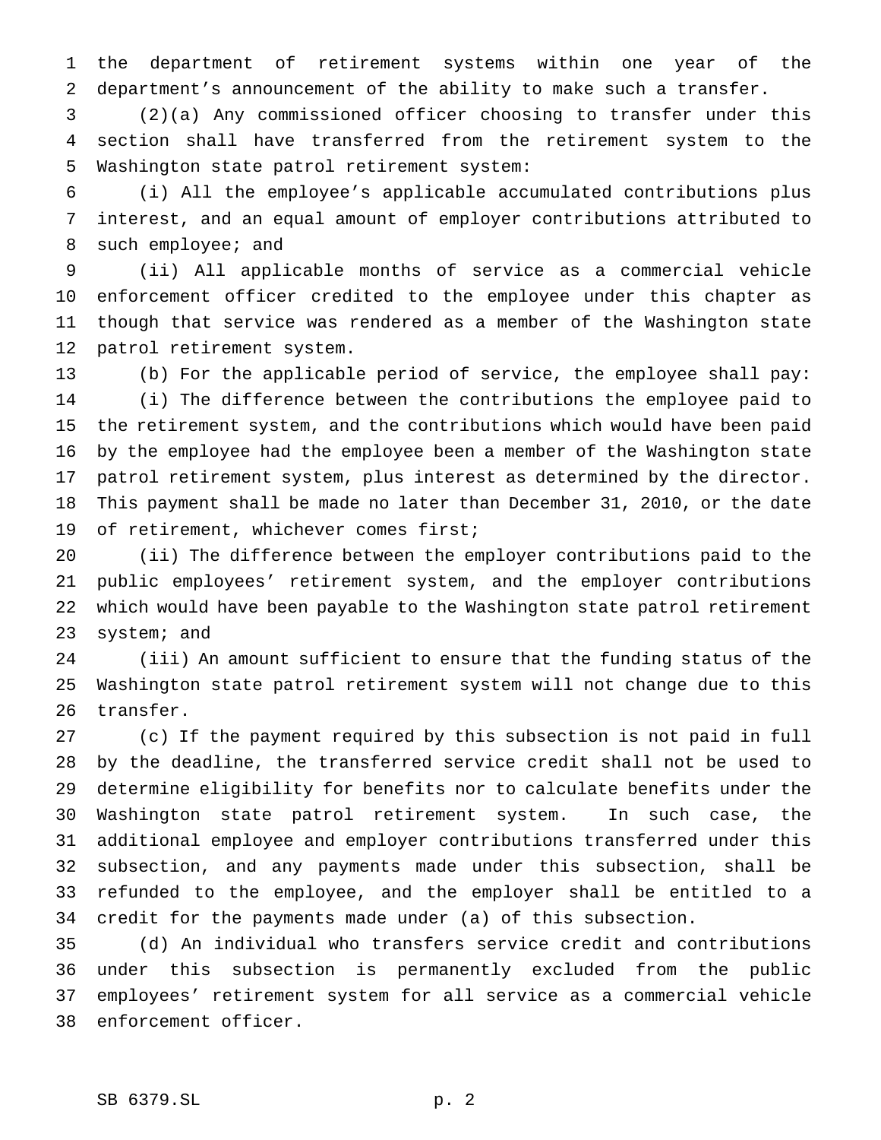the department of retirement systems within one year of the department's announcement of the ability to make such a transfer.

 (2)(a) Any commissioned officer choosing to transfer under this section shall have transferred from the retirement system to the Washington state patrol retirement system:

 (i) All the employee's applicable accumulated contributions plus interest, and an equal amount of employer contributions attributed to such employee; and

 (ii) All applicable months of service as a commercial vehicle enforcement officer credited to the employee under this chapter as though that service was rendered as a member of the Washington state patrol retirement system.

 (b) For the applicable period of service, the employee shall pay: (i) The difference between the contributions the employee paid to the retirement system, and the contributions which would have been paid by the employee had the employee been a member of the Washington state patrol retirement system, plus interest as determined by the director. This payment shall be made no later than December 31, 2010, or the date of retirement, whichever comes first;

 (ii) The difference between the employer contributions paid to the public employees' retirement system, and the employer contributions which would have been payable to the Washington state patrol retirement system; and

 (iii) An amount sufficient to ensure that the funding status of the Washington state patrol retirement system will not change due to this transfer.

 (c) If the payment required by this subsection is not paid in full by the deadline, the transferred service credit shall not be used to determine eligibility for benefits nor to calculate benefits under the Washington state patrol retirement system. In such case, the additional employee and employer contributions transferred under this subsection, and any payments made under this subsection, shall be refunded to the employee, and the employer shall be entitled to a credit for the payments made under (a) of this subsection.

 (d) An individual who transfers service credit and contributions under this subsection is permanently excluded from the public employees' retirement system for all service as a commercial vehicle enforcement officer.